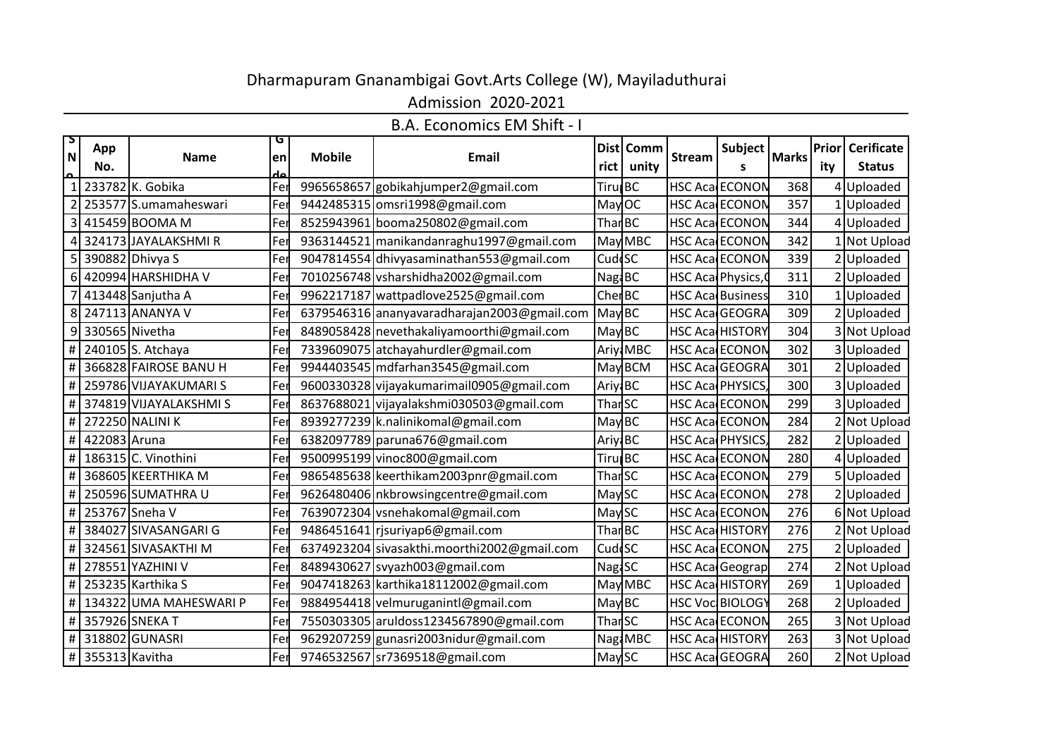## Dharmapuram Gnanambigai Govt.Arts College (W), Mayiladuthurai

Admission 2020-2021

B.A. Economics EM Shift - I

| $\mathsf{L}_2$                      | App              | G<br><b>Name</b>       |     |               |                                             |                     | Dist Comm |                         | Subject                |              |     | <b>Prior Cerificate</b> |
|-------------------------------------|------------------|------------------------|-----|---------------|---------------------------------------------|---------------------|-----------|-------------------------|------------------------|--------------|-----|-------------------------|
| $\overline{\mathsf{N}}$<br>$\Omega$ | No.              |                        | en  | <b>Mobile</b> | <b>Email</b>                                |                     | unity     | <b>Stream</b>           | S                      | <b>Marks</b> | ity | <b>Status</b>           |
|                                     |                  | 233782 K. Gobika       | Fel |               | 9965658657 gobikahjumper2@gmail.com         | <b>Tiru</b> BC      |           | <b>HSC Aca ECONON</b>   |                        | 368          |     | 4 Uploaded              |
|                                     |                  | 253577 S.umamaheswari  | Fer |               | 9442485315 omsri1998@gmail.com              | May OC              |           | <b>HSC Aca ECONON</b>   |                        | 357          |     | 1 Uploaded              |
|                                     |                  | 415459 BOOMA M         | Fer |               | 8525943961 booma250802@gmail.com            | Thar BC             |           |                         | <b>HSC Aca ECONON</b>  | 344          |     | 4 Uploaded              |
| 4                                   |                  | 324173 JAYALAKSHMIR    | Fe  |               | 9363144521 manikandanraghu1997@gmail.com    |                     | May MBC   | <b>HSC Aca ECONON</b>   |                        | 342          |     | 1 Not Upload            |
|                                     |                  | 390882 Dhivya S        | Fe  |               | 9047814554 dhivyasaminathan553@gmail.com    | Cud <sup>c</sup> SC |           | <b>HSC Aca ECONON</b>   |                        | 339          |     | 2 Uploaded              |
|                                     |                  | 420994 HARSHIDHA V     | Fel |               | 7010256748 vsharshidha2002@gmail.com        | NagiBC              |           | HSC Aca Physics,        |                        | 311          |     | 2 Uploaded              |
|                                     |                  | 413448 Sanjutha A      | Fe  |               | 9962217187 wattpadlove2525@gmail.com        | Cher <sub>BC</sub>  |           | <b>HSC Aca Business</b> |                        | 310          |     | 1 Uploaded              |
|                                     |                  | 247113 ANANYA V        | Fe  |               | 6379546316 ananyavaradharajan2003@gmail.com | May BC              |           |                         | <b>HSC Aca GEOGRA</b>  | 309          |     | 2 Uploaded              |
| 9                                   | 330565 Nivetha   |                        | Fe  |               | 8489058428 nevethakaliyamoorthi@gmail.com   | May BC              |           |                         | <b>HSC Aca HISTORY</b> | 304          |     | 3 Not Upload            |
| #                                   |                  | 240105 S. Atchaya      | Fel |               | 7339609075 atchayahurdler@gmail.com         |                     | Ariy: MBC |                         | <b>HSC Aca ECONON</b>  | 302          |     | 3 Uploaded              |
| #                                   |                  | 366828 FAIROSE BANU H  | Fer |               | 9944403545 mdfarhan3545@gmail.com           |                     | May BCM   | HSC Aca GEOGRA          |                        | 301          |     | 2 Uploaded              |
| #                                   |                  | 259786 VIJAYAKUMARI S  | Fer |               | 9600330328 vijayakumarimail0905@gmail.com   | Ariyi BC            |           | HSC Aca PHYSICS,        |                        | 300          |     | 3 Uploaded              |
| $\#$                                |                  | 374819 VIJAYALAKSHMIS  | Fer |               | 8637688021 vijayalakshmi030503@gmail.com    | Thar <sub>SC</sub>  |           | <b>HSC Aca ECONON</b>   |                        | 299          |     | 3 Uploaded              |
| #                                   |                  | 272250 NALINI K        | Fer |               | 8939277239 k.nalinikomal@gmail.com          | May BC              |           | <b>HSC AcalECONON</b>   |                        | 284          |     | 2 Not Upload            |
| #                                   | 422083 Aruna     |                        | Fe  |               | 6382097789 paruna676@gmail.com              | Ariyi BC            |           | HSC Aca PHYSICS,        |                        | 282          |     | 2 Uploaded              |
| $\#$                                |                  | 186315 C. Vinothini    | Fe  |               | 9500995199 vinoc800@gmail.com               | Tiru <b> </b> BC    |           | <b>HSC Aca ECONON</b>   |                        | 280          |     | 4 Uploaded              |
| $\#$                                |                  | 368605 KEERTHIKA M     | Fe  |               | 9865485638 keerthikam2003pnr@gmail.com      | Thar <sub>SC</sub>  |           | <b>HSC Aca ECONON</b>   |                        | 279          |     | 5 Uploaded              |
| #                                   |                  | 250596 SUMATHRA U      | Fe  |               | 9626480406   nkbrowsingcentre@gmail.com     | May SC              |           | <b>HSC Aca ECONON</b>   |                        | 278          |     | 2 Uploaded              |
| #                                   | 253767 Sneha V   |                        | Fe  |               | 7639072304 vsnehakomal@gmail.com            | May SC              |           | <b>HSC Aca ECONON</b>   |                        | 276          |     | 6 Not Upload            |
| #                                   |                  | 384027 SIVASANGARI G   | Fe  |               | 9486451641 rjsuriyap6@gmail.com             | Than <sub>BC</sub>  |           | <b>HSC Aca HISTORY</b>  |                        | 276          |     | 2 Not Upload            |
| #                                   |                  | 324561 SIVASAKTHI M    | Fel |               | 6374923204 sivasakthi.moorthi2002@gmail.com | CuddSC              |           |                         | <b>HSC Aca ECONON</b>  | 275          |     | 2 Uploaded              |
| #                                   |                  | 278551 YAZHINI V       | Fe  |               | 8489430627 svyazh003@gmail.com              | Nag <sub>i</sub> SC |           | <b>HSC Aca Geograp</b>  |                        | 274          |     | 2 Not Upload            |
| $\#$                                |                  | 253235 Karthika S      | Fe  |               | 9047418263 karthika18112002@gmail.com       |                     | May MBC   | <b>HSC Aca HISTORY</b>  |                        | 269          |     | Uploaded                |
| #                                   |                  | 134322 UMA MAHESWARI P | Fer |               | 9884954418 velmuruganintl@gmail.com         | May BC              |           | <b>HSC Voc BIOLOGY</b>  |                        | 268          |     | 2 Uploaded              |
| #                                   |                  | 357926 SNEKA T         | Fei |               | 7550303305 aruldoss1234567890@gmail.com     | Thar <sub>SC</sub>  |           |                         | <b>HSC Aca ECONON</b>  | 265          |     | 3 Not Upload            |
|                                     |                  | # 318802 GUNASRI       | Fer |               | 9629207259 gunasri2003 nidur@gmail.com      |                     | NagiMBC   | <b>HSC Acad HISTORY</b> |                        | 263          |     | 3 Not Upload            |
|                                     | # 355313 Kavitha |                        | Fer |               | 9746532567 sr7369518@gmail.com              | May SC              |           | <b>HSC Aca GEOGRA</b>   |                        | 260          |     | 2 Not Upload            |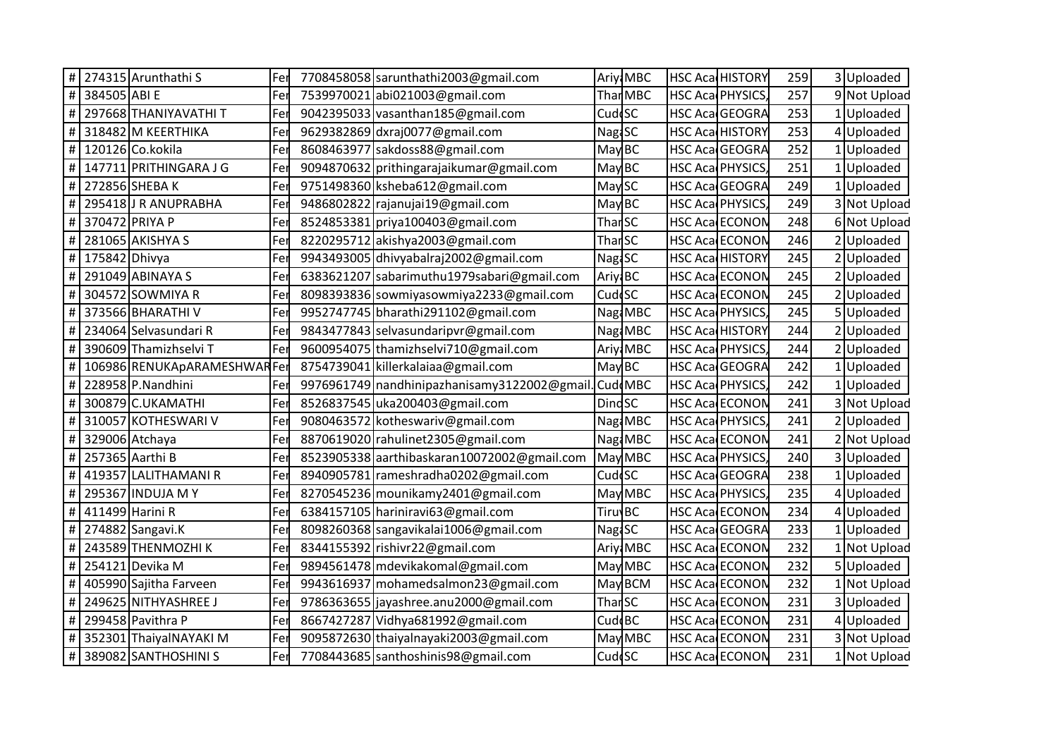|          |               | # 274315 Arunthathi S        | Fer | 7708458058 sarunthathi2003@gmail.com            |                     | Ariyi MBC       |                        | <b>HSC Aca HISTORY</b> | 259 | 3 Uploaded          |  |
|----------|---------------|------------------------------|-----|-------------------------------------------------|---------------------|-----------------|------------------------|------------------------|-----|---------------------|--|
| $\#$     | 384505 ABI E  |                              | Fer | 7539970021 abi021003@gmail.com                  |                     | Thar MBC        | HSC Aca PHYSICS,       |                        | 257 | 9 Not Upload        |  |
| $\#$     |               | 297668 THANIYAVATHI T        | Fer | 9042395033 vasanthan185@gmail.com               | Cudd <sub>SC</sub>  |                 |                        | HSC Aca GEOGRA         | 253 | Uploaded            |  |
| $\#$     |               | 318482 M KEERTHIKA           | Fer | 9629382869 dxraj0077@gmail.com                  | Nag <sub>1</sub> SC |                 | <b>HSC Aca HISTORY</b> |                        | 253 | Uploaded            |  |
| $\#$     |               | 120126 Co.kokila             | Fer | 8608463977 sakdoss88@gmail.com                  | May BC              |                 |                        | HSC Aca GEOGRA         | 252 | <b>Uploaded</b>     |  |
| $\#$     |               | 147711 PRITHINGARA J G       | Fer | 9094870632 prithingarajaikumar@gmail.com        | May BC              |                 | HSC Aca PHYSICS,       |                        | 251 | Uploaded            |  |
| $\#$     |               | 272856 SHEBA K               | Fer | 9751498360 ksheba612@gmail.com                  | May SC              |                 |                        | HSC Aca GEOGRA         | 249 | Uploaded            |  |
| $\#$     |               | 295418 J R ANUPRABHA         | Fer | 9486802822 rajanujai19@gmail.com                | May BC              |                 | HSC Aca PHYSICS,       |                        | 249 | <b>Not Upload</b>   |  |
| $\#$     |               | 370472 PRIYA P               | Fer | 8524853381 priya100403@gmail.com                | Thar <sub>SC</sub>  |                 |                        | <b>HSC Aca ECONON</b>  | 248 | 6 Not Upload        |  |
| $\#$     |               | 281065 AKISHYA S             | Fer | 8220295712 akishya2003@gmail.com                | <b>ThanSC</b>       |                 | HSC Aca ECONON         |                        | 246 | Uploaded            |  |
| $\#$     | 175842 Dhivya |                              | Fer | 9943493005 dhivyabalraj2002@gmail.com           | <b>NagiSC</b>       |                 | <b>HSC Aca HISTORY</b> |                        | 245 | Uploaded            |  |
| #        |               | 291049 ABINAYA S             | Fer | 6383621207 sabarimuthu1979sabari@gmail.com      | Ariyi BC            |                 |                        | <b>HSC Aca ECONON</b>  | 245 | Uploaded            |  |
| $\#$     |               | 304572 SOWMIYA R             | Fer | 8098393836 sowmiyasowmiya2233@gmail.com         | Cud <sup>I</sup> SC |                 |                        | <b>HSC Aca ECONON</b>  | 245 | Uploaded            |  |
| $\#$     |               | 373566 BHARATHI V            | Fer | 9952747745 bharathi291102@gmail.com             |                     | Nagi MBC        | HSC Aca PHYSICS,       |                        | 245 | Uploaded            |  |
| $\#$     |               | 234064 Selvasundari R        | Fer | 9843477843 selvasundaripvr@gmail.com            |                     | Nagi MBC        | <b>HSC Aca HISTORY</b> |                        | 244 | 2Uploaded           |  |
| $\#$     |               | 390609 Thamizhselvi T        | Fer | 9600954075 thamizhselvi710@gmail.com            |                     | Ariyi MBC       | HSC Aca PHYSICS,       |                        | 244 | Uploaded            |  |
| $\#$     |               | 106986 RENUKApARAMESHWAR Fer |     | 8754739041 killerkalaiaa@gmail.com              | May BC              |                 | HSC Aca GEOGRA         |                        | 242 | Uploaded            |  |
| $\#$     |               | 228958 P.Nandhini            | Fer | 9976961749   nandhinipazhanisamy 3122002@gmail. |                     | Cud MBC         | HSC Aca PHYSICS,       |                        | 242 | Uploaded            |  |
| $\#$     |               | 300879 C.UKAMATHI            | Fer | 8526837545 uka200403@gmail.com                  | <b>DindSC</b>       |                 | HSC Aca ECONON         |                        | 241 | 3 Not Upload        |  |
| $\sharp$ |               | 310057 KOTHESWARI V          | Fer | 9080463572 kotheswariv@gmail.com                |                     | Nagi MBC        | HSC Aca PHYSICS,       |                        | 241 | Uploaded            |  |
| $\#$     |               | 329006 Atchaya               | Fer | 8870619020 rahulinet2305@gmail.com              |                     | Nag: MBC        | HSC Aca ECONON         |                        | 241 | 2 Not Upload        |  |
| $\#$     |               | 257365 Aarthi B              | Fer | 8523905338 aarthibaskaran10072002@gmail.com     |                     | May MBC         | HSC Aca PHYSICS,       |                        | 240 | 3Uploaded           |  |
| $\#$     |               | 419357 LALITHAMANI R         | Fer | 8940905781 rameshradha0202@gmail.com            | Cudd <sub>SC</sub>  |                 |                        | HSC Aca GEOGRA         | 238 | Uploaded            |  |
| $\#$     |               | 295367 INDUJA MY             | Fer | 8270545236 mounikamy 2401@gmail.com             |                     | May MBC         | HSC Aca PHYSICS,       |                        | 235 | <b>Uploaded</b>     |  |
| $\#$     |               | 411499 Harini R              | Fer | 6384157105 hariniravi63@gmail.com               | Tiruv <sub>BC</sub> |                 | HSC Aca ECONON         |                        | 234 | Uploaded            |  |
| $\#$     |               | 274882 Sangavi.K             | Fer | 8098260368 sangavikalai1006@gmail.com           | Nag <sub>1</sub> SC |                 |                        | HSC Aca GEOGRA         | 233 | Uploaded            |  |
| $\#$     |               | 243589 THENMOZHI K           | Fer | 8344155392 rishivr22@gmail.com                  |                     | <b>AriyiMBC</b> | <b>HSC Aca ECONON</b>  |                        | 232 | Not Upload          |  |
| $\#$     |               | 254121 Devika M              | Fer | 9894561478 mdevikakomal@gmail.com               |                     | May MBC         | HSC Aca ECONON         |                        | 232 | 5Uploaded           |  |
| $\#$     |               | 405990 Sajitha Farveen       | Fer | 9943616937 mohamedsalmon23@gmail.com            |                     | May BCM         | HSC Aca ECONON         |                        | 232 | Not Upload          |  |
| $\#$     |               | 249625 NITHYASHREE J         | Fer | 9786363655 jayashree.anu2000@gmail.com          | Thar <sub>SC</sub>  |                 | HSC Aca ECONON         |                        | 231 | 3Uploaded           |  |
| $\#$     |               | 299458 Pavithra P            | Fer | 8667427287 Vidhya681992@gmail.com               | CuddBC              |                 |                        | <b>HSC Aca ECONON</b>  | 231 | Uploaded            |  |
| $\#$     |               | 352301 ThaiyalNAYAKI M       | Fer | 9095872630 thaiyalnayaki2003@gmail.com          |                     | May MBC         |                        | <b>HSC Aca ECONON</b>  | 231 | <b>B</b> Not Upload |  |
|          |               | # 389082 SANTHOSHINI S       | Fer | 7708443685 santhoshinis98@gmail.com             | Cudd <sub>SC</sub>  |                 |                        | HSC Aca ECONON         | 231 | 1 Not Upload        |  |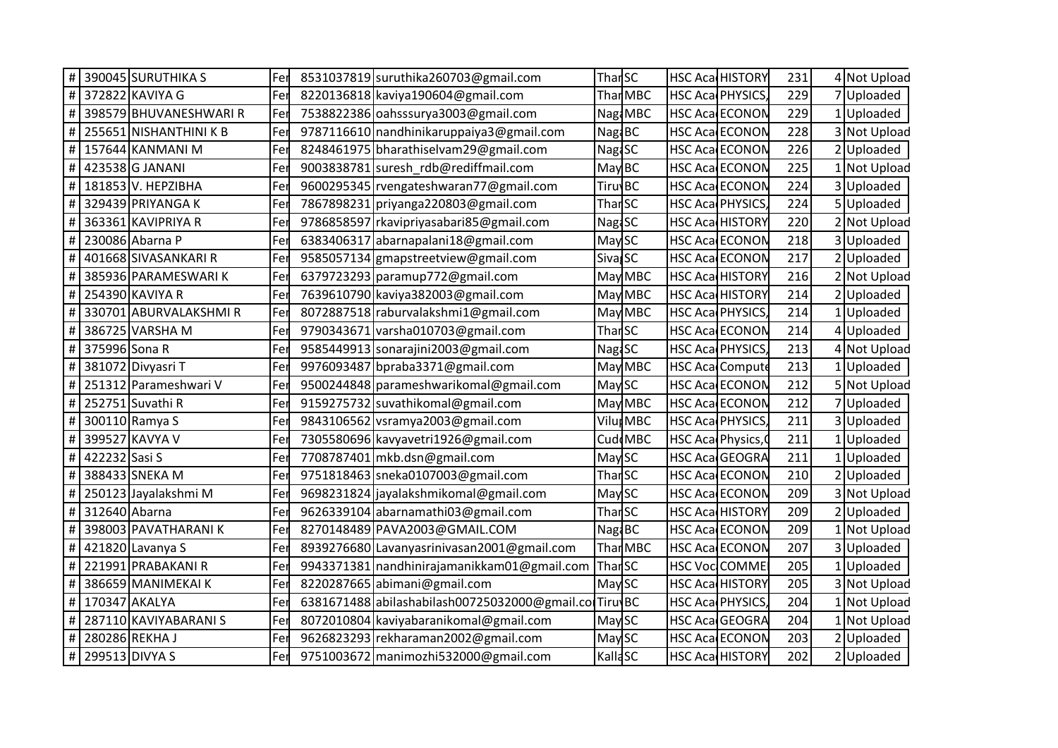|               | 390045 SURUTHIKA S     | Fer | 8531037819 suruthika260703@gmail.com                  | <b>Than</b> SC       |                       | <b>HSC Aca HISTORY</b>  | 231 | 4 Not Upload    |
|---------------|------------------------|-----|-------------------------------------------------------|----------------------|-----------------------|-------------------------|-----|-----------------|
|               | 372822 KAVIYA G        | Fe  | 8220136818 kaviya190604@gmail.com                     |                      | Thar <sub>MBC</sub>   | HSC Aca PHYSICS         | 229 | 7 Uploaded      |
|               | 398579 BHUVANESHWARI R | Fer | 7538822386 oahsssurya3003@gmail.com                   |                      | Nag MBC               | HSC Aca ECONON          | 229 | 1 Uploaded      |
|               | 255651 NISHANTHINI K B | Fe  | 9787116610 nandhinikaruppaiya3@gmail.com              | Nag BC               |                       | <b>HSC Aca ECONON</b>   | 228 | 3 Not Upload    |
|               | 157644 KANMANI M       |     | 8248461975 bharathiselvam29@gmail.com                 | Nag <sub>2</sub> SC  |                       | HSC Aca ECONON          | 226 | 2 Uploaded      |
|               | 423538 G JANANI        | F۴  | 9003838781 suresh_rdb@rediffmail.com                  | May BC               |                       | <b>HSC Aca ECONON</b>   | 225 | Not Upload      |
|               | 181853 V. HEPZIBHA     | Fe  | 9600295345 rvengateshwaran77@gmail.com                | <b>TiruvBC</b>       |                       | HSC Aca ECONON          | 224 | 3 Uploaded      |
|               | 329439 PRIYANGA K      | Fe  | 7867898231 priyanga220803@gmail.com                   | <b>Thar SC</b>       |                       | HSC Aca PHYSICS         | 224 | 5Uploaded       |
|               | 363361 KAVIPRIYA R     | Fe  | 9786858597 rkavipriyasabari85@gmail.com               | Nag <sub>i</sub> SC  |                       | <b>HSC Aca HISTORY</b>  | 220 | 2 Not Upload    |
|               | 230086 Abarna P        | Fe  | 6383406317 abarnapalani18@gmail.com                   | May <sub>SC</sub>    |                       | HSC Aca ECONON          | 218 | 3 Uploaded      |
|               | 401668 SIVASANKARI R   | Fe  | 9585057134 gmapstreetview@gmail.com                   | Siva <sub>s</sub> SC |                       | HSC Aca ECONON          | 217 | 2 Uploaded      |
|               | 385936 PARAMESWARIK    | Fe  | 6379723293 paramup772@gmail.com                       |                      | May MBC               | HSC Aca HISTORY         | 216 | 2 Not Upload    |
|               | 254390 KAVIYA R        | Fe  | 7639610790 kaviya382003@gmail.com                     |                      | May MBC               | HSC Aca HISTORY         | 214 | 2Uploaded       |
|               | 330701 ABURVALAKSHMIR  | Fe  | 8072887518 raburvalakshmi1@gmail.com                  |                      | May MBC               | <b>HSC Aca PHYSICS</b>  | 214 | Uploaded        |
|               | 386725 VARSHA M        | Fe  | 9790343671 varsha010703@gmail.com                     | Thar <sub>SC</sub>   |                       | HSC Aca ECONON          | 214 | 4 Uploaded      |
|               | 375996 Sona R          |     | 9585449913 sonarajini2003@gmail.com                   | Nag <sub>i</sub> SC  |                       | <b>HSC Aca PHYSICS</b>  | 213 | 4 Not Upload    |
|               | 381072 Divyasri T      |     | 9976093487 bpraba3371@gmail.com                       |                      | May MBC               | HSC Aca Compute         | 213 | Uploaded        |
|               | 251312 Parameshwari V  | Fe  | 9500244848 parameshwarikomal@gmail.com                | MaySC                |                       | HSC Aca ECONON          | 212 | 5 Not Upload    |
|               | 252751 Suvathi R       | Fe  | 9159275732 suvathikomal@gmail.com                     |                      | May MBC               | HSC Aca ECONON          | 212 | 7 Uploaded      |
|               | 300110 Ramya S         |     | 9843106562 vsramya2003@gmail.com                      |                      | Vilu <sub>l</sub> MBC | <b>HSC Aca PHYSICS</b>  | 211 | 3 Uploaded      |
|               | 399527 KAVYA V         | Fe  | 7305580696 kavyavetri1926@gmail.com                   |                      | Cud MBC               | HSC Aca Physics,        | 211 | <b>Uploaded</b> |
| 422232 Sasi S |                        | Fer | 7708787401 mkb.dsn@gmail.com                          | <b>May SC</b>        |                       | HSC Aca GEOGRA          | 211 | 1 Uploaded      |
|               | 388433 SNEKA M         | Fe  | 9751818463 sneka0107003@gmail.com                     | Thar <sub>SC</sub>   |                       | HSC Aca ECONON          | 210 | 2Uploaded       |
|               | 250123 Jayalakshmi M   |     | 9698231824 jayalakshmikomal@gmail.com                 | <b>May SC</b>        |                       | HSC Aca ECONON          | 209 | 3 Not Upload    |
|               | 312640 Abarna          | Fe  | 9626339104 abarnamathi03@gmail.com                    | <b>Thar</b> SC       |                       | HSC Aca HISTORY         | 209 | 2Uploaded       |
|               | 398003 PAVATHARANIK    | Fe  | 8270148489 PAVA2003@GMAIL.COM                         | Nag <sub>i</sub> BC  |                       | HSC Aca ECONON          | 209 | 1 Not Upload    |
|               | 421820 Lavanya S       | Fe  | 8939276680 Lavanyasrinivasan2001@gmail.com            |                      | Thar MBC              | HSC Aca ECONON          | 207 | 3Uploaded       |
|               | 221991 PRABAKANI R     |     | 9943371381 nandhinirajamanikkam01@gmail.com           | ThanSC               |                       | <b>HSC Voc COMME</b>    | 205 | Uploaded        |
|               | 386659 MANIMEKAI K     | Fe  | 8220287665 abimani@gmail.com                          | MaySC                |                       | HSC Aca HISTORY         | 205 | 3 Not Upload    |
|               | 170347 AKALYA          | Fe  | 6381671488 abilashabilash00725032000@gmail.colTiru\BC |                      |                       | HSC Aca PHYSICS         | 204 | Not Upload      |
|               | 287110 KAVIYABARANI S  | Fe  | 8072010804 kaviyabaranikomal@gmail.com                | May SC               |                       | HSC Aca GEOGRA          | 204 | Not Upload      |
|               | 280286 REKHA J         |     | 9626823293 rekharaman2002@gmail.com                   | MaySC                |                       | HSC Aca ECONON          | 203 | 2 Uploaded      |
|               | 299513 DIVYA S         | Fer | 9751003672 manimozhi532000@gmail.com                  | <b>KallaSC</b>       |                       | <b>HSC Acad HISTORY</b> | 202 | 2 Uploaded      |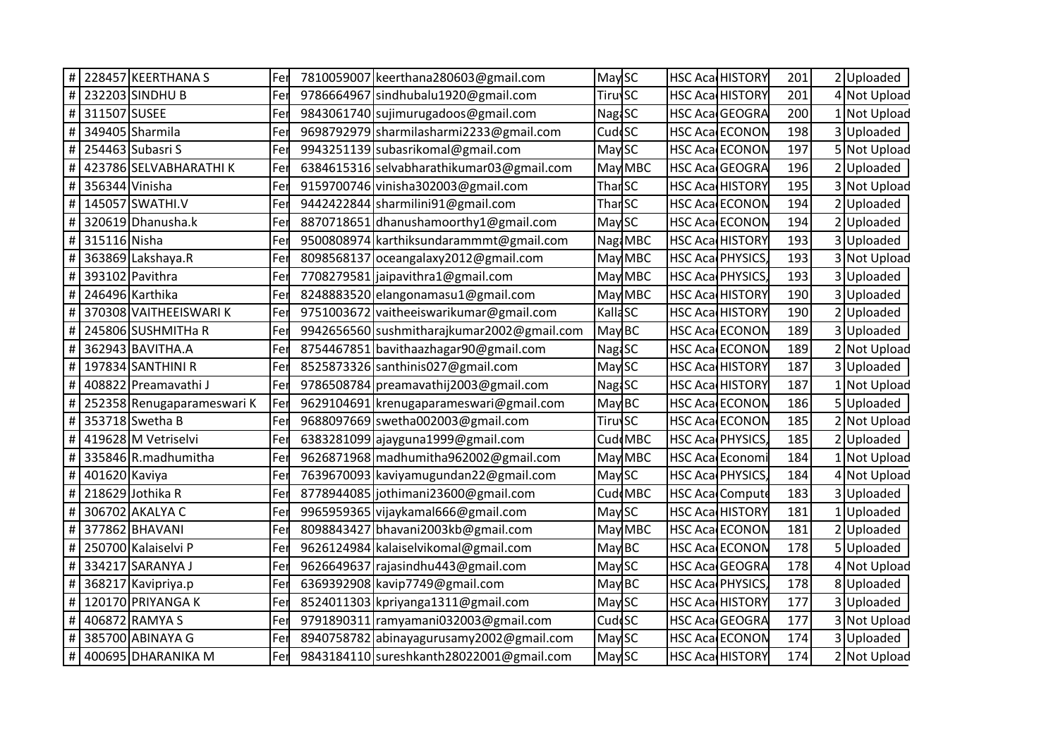|                |                | # 228457 KEERTHANA S       | Fer | 7810059007 keerthana280603@gmail.com       | May SC                    | <b>HSC Aca HISTORY</b> | 201 | 2Uploaded         |  |
|----------------|----------------|----------------------------|-----|--------------------------------------------|---------------------------|------------------------|-----|-------------------|--|
| $\#$           |                | 232203 SINDHU B            | Fer | 9786664967 sindhubalu1920@gmail.com        | <b>Tiruv<sub>SC</sub></b> | HSC Aca HISTORY        | 201 | 4 Not Upload      |  |
|                | #311507 SUSEE  |                            | Fer | 9843061740 sujimurugadoos@gmail.com        | Nag <sub>1</sub> SC       | HSC Aca GEOGRA         | 200 | INot Upload       |  |
| $\#$           |                | 349405 Sharmila            | Fer | 9698792979 sharmilasharmi2233@gmail.com    | Cud <sup>I</sup> SC       | HSC Aca ECONON         | 198 | Uploaded          |  |
| $\#$           |                | 254463 Subasri S           | Fer | 9943251139 subasrikomal@gmail.com          | May <sub>SC</sub>         | HSC Aca ECONON         | 197 | Not Upload        |  |
| $\#$           |                | 423786 SELVABHARATHI K     | Fer | 6384615316 selvabharathikumar03@gmail.com  | May MBC                   | HSC Aca GEOGRA         | 196 | Uploaded          |  |
| $\#$           | 356344 Vinisha |                            | Fer | 9159700746 vinisha302003@gmail.com         | Thar <sub>SC</sub>        | <b>HSC Aca HISTORY</b> | 195 | 3 Not Upload      |  |
| $\#$           |                | 145057 SWATHI.V            | Fer | 9442422844 sharmilini91@gmail.com          | Thar <sub>SC</sub>        | <b>HSC Aca ECONON</b>  | 194 | Uploaded          |  |
| $\#$           |                | 320619 Dhanusha.k          | Fer | 8870718651 dhanushamoorthy1@gmail.com      | May SC                    | <b>HSC Aca ECONON</b>  | 194 | Uploaded          |  |
| $\#$           | 315116 Nisha   |                            | Fer | 9500808974 karthiksundarammmt@gmail.com    | Nag: MBC                  | <b>HSC Aca HISTORY</b> | 193 | Uploaded          |  |
| $\#$           |                | 363869 Lakshaya.R          | Fer | 8098568137 oceangalaxy2012@gmail.com       | May MBC                   | HSC Aca PHYSICS,       | 193 | 3 Not Upload      |  |
| $\#$           |                | 393102 Pavithra            | Fer | 7708279581 jaipavithra1@gmail.com          | May MBC                   | HSC Aca PHYSICS,       | 193 | Uploaded          |  |
| $\pmb{\sharp}$ |                | 246496 Karthika            | Fer | 8248883520 elangonamasu1@gmail.com         | May MBC                   | <b>HSC Aca HISTORY</b> | 190 | 3Uploaded         |  |
| $\#$           |                | 370308 VAITHEEISWARI K     | Fer | 9751003672 vaitheeiswarikumar@gmail.com    | KallaSC                   | HSC Aca HISTORY        | 190 | 2 Uploaded        |  |
| $\#$           |                | 245806 SUSHMITHa R         | Fer | 9942656560 sushmitharajkumar2002@gmail.com | May BC                    | <b>HSC Aca ECONON</b>  | 189 | 3Uploaded         |  |
| $\#$           |                | 362943 BAVITHA.A           | Fer | 8754467851 bavithaazhagar90@gmail.com      | Nag <sub>i</sub> SC       | HSC Aca ECONON         | 189 | Not Upload        |  |
| $\#$           |                | 197834 SANTHINI R          | Fer | 8525873326 santhinis027@gmail.com          | May SC                    | HSC Aca HISTORY        | 187 | 3Uploaded         |  |
| $\#$           |                | 408822 Preamavathi J       | Fer | 9786508784 preamavathij 2003@gmail.com     | <b>NagiSC</b>             | <b>HSC Aca HISTORY</b> | 187 | Not Upload        |  |
| $\#$           |                | 252358 Renugaparameswari K | Fer | 9629104691 krenugaparameswari@gmail.com    | May BC                    | HSC Aca ECONON         | 186 | Uploaded          |  |
| $\#$           |                | 353718 Swetha B            | Fer | 9688097669 swetha002003@gmail.com          | Tiruv <sub>SC</sub>       | HSC Aca ECONON         | 185 | Not Upload        |  |
| $\#$           |                | 419628 M Vetriselvi        | Fer | 6383281099 ajayguna1999@gmail.com          | Cud MBC                   | HSC Aca PHYSICS,       | 185 | Uploaded          |  |
| $\#$           |                | 335846 R.madhumitha        | Fer | 9626871968 madhumitha962002@gmail.com      | May MBC                   | HSC Aca Economi        | 184 | Not Upload        |  |
| $\#$           | 401620 Kaviya  |                            | Fer | 7639670093 kaviyamugundan22@gmail.com      | May SC                    | HSC Aca PHYSICS,       | 184 | <b>Not Upload</b> |  |
| $\#$           |                | 218629 Jothika R           | Fer | 8778944085 jothimani23600@gmail.com        | Cud MBC                   | <b>HSC Aca Compute</b> | 183 | Uploaded          |  |
| $\pmb{\#}$     |                | 306702 AKALYA C            | Fer | 9965959365 vijaykamal666@gmail.com         | May SC                    | HSC Aca HISTORY        | 181 | Uploaded          |  |
| $\#$           |                | 377862 BHAVANI             | Fer | 8098843427 bhavani2003kb@gmail.com         | May MBC                   | HSC Aca ECONON         | 181 | 2Uploaded         |  |
| $\#$           |                | 250700 Kalaiselvi P        | Fer | 9626124984 kalaiselvikomal@gmail.com       | May BC                    | <b>HSC Aca ECONON</b>  | 178 | Uploaded          |  |
| $\#$           |                | 334217 SARANYA J           | Fer | 9626649637 rajasindhu443@gmail.com         | May SC                    | HSC Aca GEOGRA         | 178 | <b>Not Upload</b> |  |
| $\#$           |                | 368217 Kavipriya.p         | Fer | 6369392908 kavip7749@gmail.com             | May BC                    | HSC Aca PHYSICS,       | 178 | 8Uploaded         |  |
| $\#$           |                | 120170 PRIYANGA K          | Fer | 8524011303 kpriyanga1311@gmail.com         | May SC                    | <b>HSC Aca HISTORY</b> | 177 | 3Uploaded         |  |
| $\#$           |                | 406872 RAMYA S             | Fer | 9791890311 ramyamani032003@gmail.com       | Cud <sup>c</sup> SC       | HSC Aca GEOGRA         | 177 | 3 Not Upload      |  |
| $\#$           |                | 385700 ABINAYA G           | Fer | 8940758782 abinayagurusamy2002@gmail.com   | May SC                    | <b>HSC Aca ECONON</b>  | 174 | 3Uploaded         |  |
|                |                | # 400695 DHARANIKA M       | Fer | 9843184110 sureshkanth 28022001@gmail.com  | May SC                    | <b>HSC Aca HISTORY</b> | 174 | 2 Not Upload      |  |